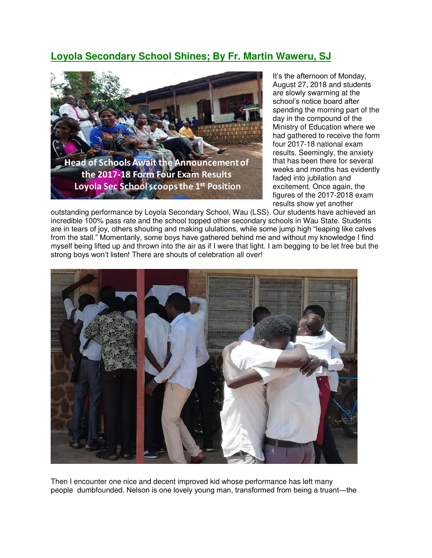## **Loyola Secondary School Shines; By Fr. Martin Waweru, SJ**



It's the afternoon of Monday, August 27, 2018 and students are slowly swarming at the school's notice board after spending the morning part of the day in the compound of the Ministry of Education where we had gathered to receive the form four 2017-18 national exam results. Seemingly, the anxiety that has been there for several weeks and months has evidently faded into jubilation and excitement. Once again, the figures of the 2017-2018 exam results show yet another

outstanding performance by Loyola Secondary School, Wau (LSS). Our students have achieved an incredible 100% pass rate and the school topped other secondary schools in Wau State. Students are in tears of joy, others shouting and making ululations, while some jump high "leaping like calves from the stall." Momentarily, some boys have gathered behind me and without my knowledge I find myself being lifted up and thrown into the air as if I were that light. I am begging to be let free but the strong boys won't listen! There are shouts of celebration all over!



Then I encounter one nice and decent improved kid whose performance has left many people dumbfounded. Nelson is one lovely young man, transformed from being a truant―the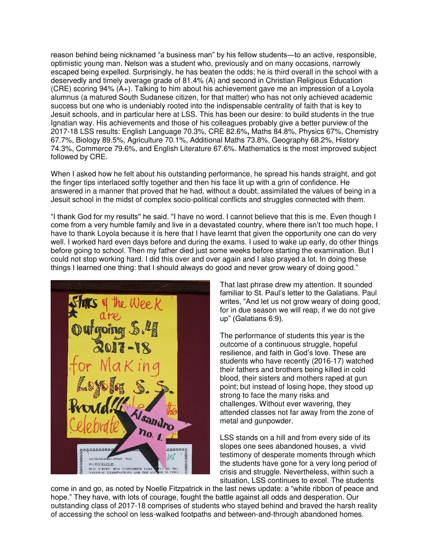reason behind being nicknamed "a business man" by his fellow students―to an active, responsible, optimistic young man. Nelson was a student who, previously and on many occasions, narrowly escaped being expelled. Surprisingly, he has beaten the odds; he is third overall in the school with a deservedly and timely average grade of 81.4% (A) and second in Christian Religious Education (CRE) scoring 94% (A+). Talking to him about his achievement gave me an impression of a Loyola alumnus (a matured South Sudanese citizen, for that matter) who has not only achieved academic success but one who is undeniably rooted into the indispensable centrality of faith that is key to Jesuit schools, and in particular here at LSS. This has been our desire: to build students in the true Ignatian way. His achievements and those of his colleagues probably give a better purview of the 2017-18 LSS results: English Language 70.3%, CRE 82.6%**,** Maths 84.8%, Physics 67%, Chemistry 67.7%, Biology 89.5%, Agriculture 70.1%, Additional Maths 73.8%, Geography 68.2%, History 74.3%, Commerce 79.6%, and English Literature 67.6%. Mathematics is the most improved subject followed by CRE.

When I asked how he felt about his outstanding performance, he spread his hands straight, and got the finger tips interlaced softly together and then his face lit up with a grin of confidence. He answered in a manner that proved that he had, without a doubt, assimilated the values of being in a Jesuit school in the midst of complex socio-political conflicts and struggles connected with them.

"I thank God for my results'' he said. "I have no word. I cannot believe that this is me. Even though I come from a very humble family and live in a devastated country, where there isn't too much hope, I have to thank Loyola because it is here that I have learnt that given the opportunity one can do very well. I worked hard even days before and during the exams. I used to wake up early, do other things before going to school. Then my father died just some weeks before starting the examination. But I could not stop working hard. I did this over and over again and I also prayed a lot. In doing these things I learned one thing: that I should always do good and never grow weary of doing good."



That last phrase drew my attention. It sounded familiar to St. Paul's letter to the Galatians. Paul writes, "And let us not grow weary of doing good, for in due season we will reap, if we do not give up" (Galatians 6:9).

The performance of students this year is the outcome of a continuous struggle, hopeful resilience, and faith in God's love. These are students who have recently (2016-17) watched their fathers and brothers being killed in cold blood, their sisters and mothers raped at gun point; but instead of losing hope, they stood up strong to face the many risks and challenges. Without ever wavering, they attended classes not far away from the zone of metal and gunpowder.

LSS stands on a hill and from every side of its slopes one sees abandoned houses, a vivid testimony of desperate moments through which the students have gone for a very long period of crisis and struggle. Nevertheless, within such a situation, LSS continues to excel. The students

come in and go, as noted by Noelle Fitzpatrick in the last news update: a "white ribbon of peace and hope." They have, with lots of courage, fought the battle against all odds and desperation. Our outstanding class of 2017-18 comprises of students who stayed behind and braved the harsh reality of accessing the school on less-walked footpaths and between-and-through abandoned homes.